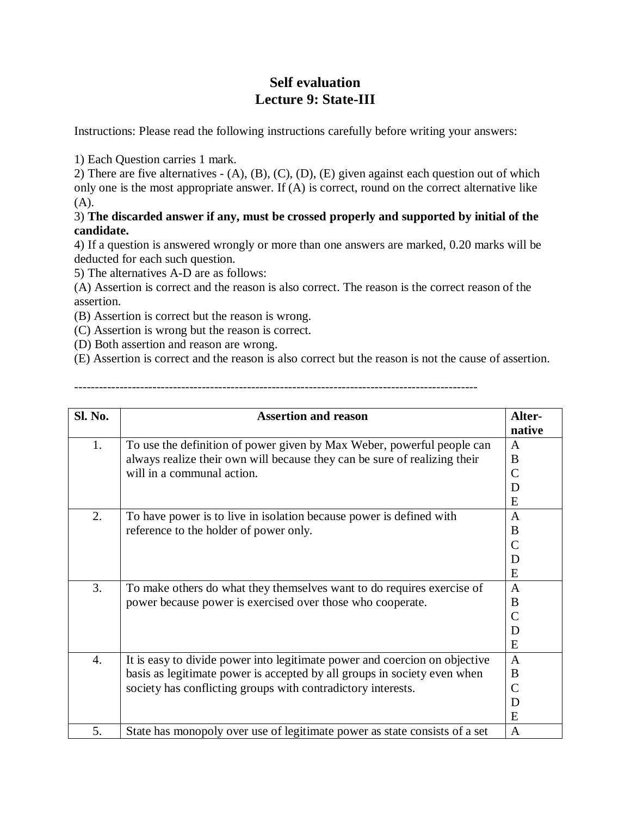## **Self evaluation Lecture 9: State-III**

Instructions: Please read the following instructions carefully before writing your answers:

1) Each Question carries 1 mark.

2) There are five alternatives - (A), (B), (C), (D), (E) given against each question out of which only one is the most appropriate answer. If (A) is correct, round on the correct alternative like (A).

## 3) **The discarded answer if any, must be crossed properly and supported by initial of the candidate.**

4) If a question is answered wrongly or more than one answers are marked, 0.20 marks will be deducted for each such question.

5) The alternatives A-D are as follows:

(A) Assertion is correct and the reason is also correct. The reason is the correct reason of the assertion.

(B) Assertion is correct but the reason is wrong.

(C) Assertion is wrong but the reason is correct.

(D) Both assertion and reason are wrong.

(E) Assertion is correct and the reason is also correct but the reason is not the cause of assertion.

--------------------------------------------------------------------------------------------------

| Sl. No.          | <b>Assertion and reason</b>                                                                                                                                                                                            | Alter-<br>native                              |
|------------------|------------------------------------------------------------------------------------------------------------------------------------------------------------------------------------------------------------------------|-----------------------------------------------|
| 1.               | To use the definition of power given by Max Weber, powerful people can<br>always realize their own will because they can be sure of realizing their<br>will in a communal action.                                      | $\mathbf{A}$<br>B<br>$\overline{C}$<br>D<br>E |
| 2.               | To have power is to live in isolation because power is defined with<br>reference to the holder of power only.                                                                                                          | $\mathbf{A}$<br>B<br>$\overline{C}$<br>D<br>E |
| 3.               | To make others do what they themselves want to do requires exercise of<br>power because power is exercised over those who cooperate.                                                                                   | $\mathbf{A}$<br>B<br>C<br>D<br>E              |
| $\overline{4}$ . | It is easy to divide power into legitimate power and coercion on objective<br>basis as legitimate power is accepted by all groups in society even when<br>society has conflicting groups with contradictory interests. | $\overline{A}$<br>B<br>C<br>D<br>E            |
| 5.               | State has monopoly over use of legitimate power as state consists of a set                                                                                                                                             | $\mathbf{A}$                                  |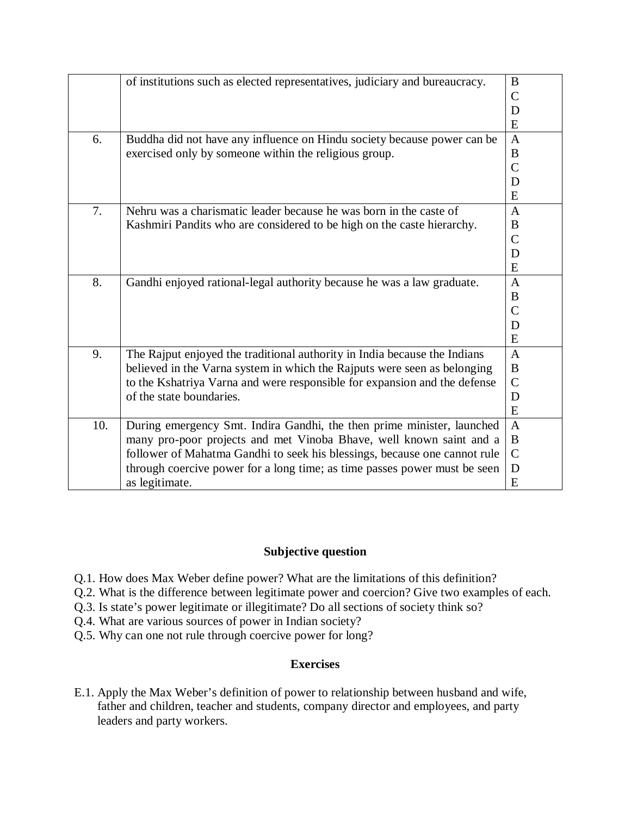|     | of institutions such as elected representatives, judiciary and bureaucracy. | B              |
|-----|-----------------------------------------------------------------------------|----------------|
|     |                                                                             | $\mathcal{C}$  |
|     |                                                                             | D              |
|     |                                                                             | E              |
| 6.  | Buddha did not have any influence on Hindu society because power can be     | $\overline{A}$ |
|     | exercised only by someone within the religious group.                       | B              |
|     |                                                                             | $\overline{C}$ |
|     |                                                                             | D              |
|     |                                                                             | E              |
| 7.  | Nehru was a charismatic leader because he was born in the caste of          | A              |
|     | Kashmiri Pandits who are considered to be high on the caste hierarchy.      | B              |
|     |                                                                             | $\mathbf C$    |
|     |                                                                             | D              |
|     |                                                                             | E              |
| 8.  | Gandhi enjoyed rational-legal authority because he was a law graduate.      | $\mathbf{A}$   |
|     |                                                                             | B              |
|     |                                                                             | $\mathcal{C}$  |
|     |                                                                             | D              |
|     |                                                                             | E              |
| 9.  | The Rajput enjoyed the traditional authority in India because the Indians   | $\mathbf{A}$   |
|     | believed in the Varna system in which the Rajputs were seen as belonging    | $\bf{B}$       |
|     | to the Kshatriya Varna and were responsible for expansion and the defense   | $\mathcal{C}$  |
|     | of the state boundaries.                                                    | D              |
|     |                                                                             | E              |
| 10. | During emergency Smt. Indira Gandhi, the then prime minister, launched      | $\mathbf{A}$   |
|     | many pro-poor projects and met Vinoba Bhave, well known saint and a         | B              |
|     | follower of Mahatma Gandhi to seek his blessings, because one cannot rule   | $\mathcal{C}$  |
|     | through coercive power for a long time; as time passes power must be seen   | D              |
|     | as legitimate.                                                              | E              |

## **Subjective question**

- Q.1. How does Max Weber define power? What are the limitations of this definition?
- Q.2. What is the difference between legitimate power and coercion? Give two examples of each.
- Q.3. Is state's power legitimate or illegitimate? Do all sections of society think so?
- Q.4. What are various sources of power in Indian society?
- Q.5. Why can one not rule through coercive power for long?

## **Exercises**

E.1. Apply the Max Weber's definition of power to relationship between husband and wife, father and children, teacher and students, company director and employees, and party leaders and party workers.